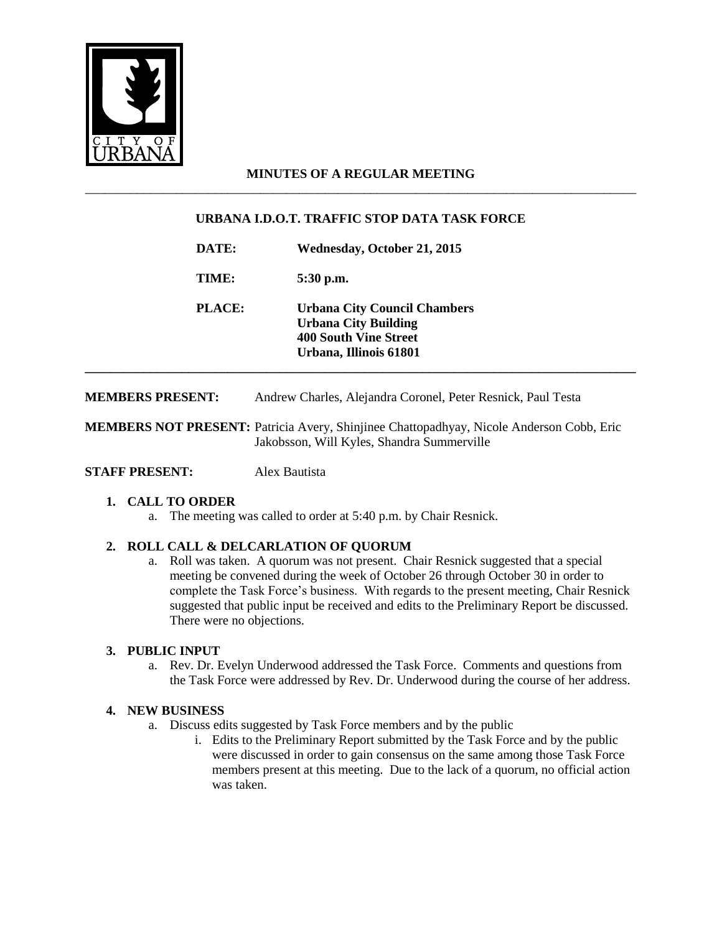

## **MINUTES OF A REGULAR MEETING** \_\_\_\_\_\_\_\_\_\_\_\_\_\_\_\_\_\_\_\_\_\_\_\_\_\_\_\_\_\_\_\_\_\_\_\_\_\_\_\_\_\_\_\_\_\_\_\_\_\_\_\_\_\_\_\_\_\_\_\_\_\_\_\_\_\_\_\_\_\_\_\_\_\_\_\_\_\_\_\_\_\_\_\_\_

# **URBANA I.D.O.T. TRAFFIC STOP DATA TASK FORCE**

**DATE: Wednesday, October 21, 2015**

**TIME: 5:30 p.m.**

**PLACE: Urbana City Council Chambers Urbana City Building 400 South Vine Street Urbana, Illinois 61801 \_\_\_\_\_\_\_\_\_\_\_\_\_\_\_\_\_\_\_\_\_\_\_\_\_\_\_\_\_\_\_\_\_\_\_\_\_\_\_\_\_\_\_\_\_\_\_\_\_\_\_\_\_\_\_\_\_\_\_\_\_\_\_\_\_\_\_\_\_\_\_\_\_\_\_\_\_\_\_\_\_\_\_\_\_**

**MEMBERS PRESENT:** Andrew Charles, Alejandra Coronel, Peter Resnick, Paul Testa

**MEMBERS NOT PRESENT:** Patricia Avery, Shinjinee Chattopadhyay, Nicole Anderson Cobb, Eric Jakobsson, Will Kyles, Shandra Summerville

**STAFF PRESENT:** Alex Bautista

#### **1. CALL TO ORDER**

a. The meeting was called to order at 5:40 p.m. by Chair Resnick.

#### **2. ROLL CALL & DELCARLATION OF QUORUM**

a. Roll was taken. A quorum was not present. Chair Resnick suggested that a special meeting be convened during the week of October 26 through October 30 in order to complete the Task Force's business. With regards to the present meeting, Chair Resnick suggested that public input be received and edits to the Preliminary Report be discussed. There were no objections.

#### **3. PUBLIC INPUT**

a. Rev. Dr. Evelyn Underwood addressed the Task Force. Comments and questions from the Task Force were addressed by Rev. Dr. Underwood during the course of her address.

#### **4. NEW BUSINESS**

- a. Discuss edits suggested by Task Force members and by the public
	- i. Edits to the Preliminary Report submitted by the Task Force and by the public were discussed in order to gain consensus on the same among those Task Force members present at this meeting. Due to the lack of a quorum, no official action was taken.